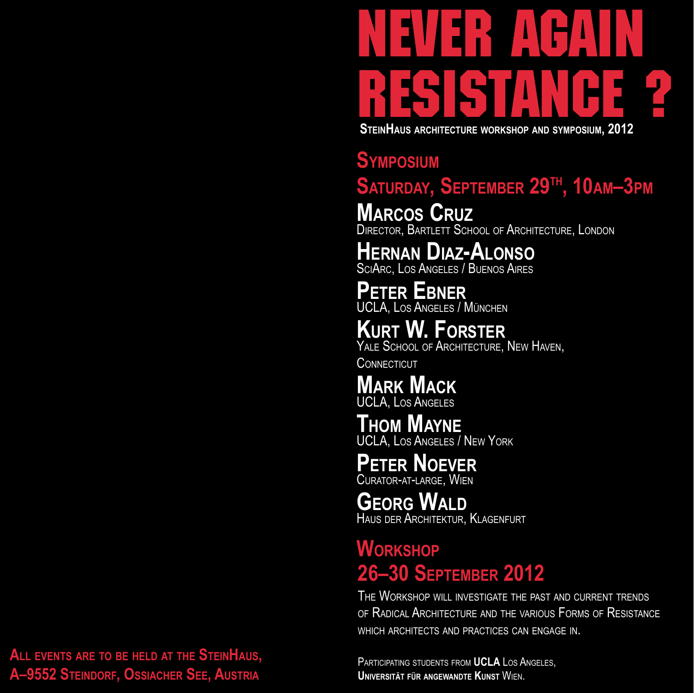# never again resistance ?  **SteinHaus architecture workshop and symposium, 2012**

### **Symposium**

## SATURDAY, SEPTEMBER 29<sup>th</sup>, 10am-3pm

**Marcos Cruz** DIRECTOR, BARTLETT SCHOOL OF ARCHITECTURE, LONDON

## **Hernan Diaz-Alonso**

SciArc, Los Angeles / Buenos Aires

**Peter Ebner**

UCLA, Los Angeles / München

**Kurt W. Forster** YALE SCHOOL OF ARCHITECTURE, NEW HAVEN, **CONNECTICUT** 

**Mark Mack** UCLA, Los Angeles

**Thom Mayne** UCLA, Los Angeles / New York

#### **Peter Noever** Curator-at-large, Wien

**Georg Wald**

Haus der Architektur, Klagenfurt

## **Workshop 26–30 September 2012**

The Workshop will investigate the past and current trends of Radical Architecture and the various Forms of Resistance which architects and practices can engage in.

Participating students from **UCLA** Los Angeles, **Universität für angewandte Kunst** Wien.

**All events are to be held at the SteinHaus, A–9552 Steindorf, Ossiacher See, Austria**